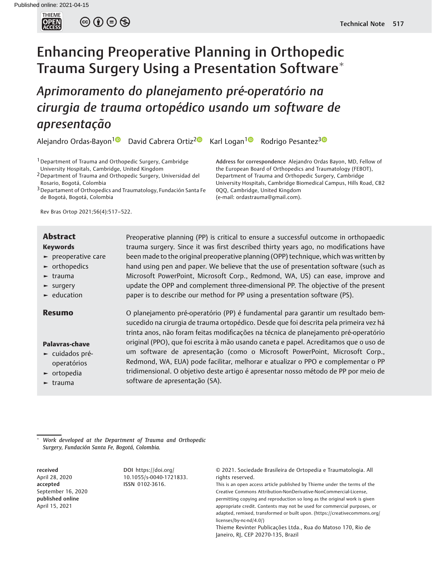**THIEME**<br>**OPEN**<br>ACCESS

 $\circledcirc \circledcirc \circledcirc$ 

# Enhancing Preoperative Planning in Orthopedic Trauma Surgery Using a Presentation Software

Aprimoramento do planejamento pré-operatório na cirurgia de trauma ortopédico usando um software de apresentação

Alejandro Ordas-Bayon<sup>1</sup> David Cabrera Ortiz<sup>2</sup> Karl Logan<sup>1 D</sup> Rodrigo Pesantez<sup>3 D</sup>

1Department of Trauma and Orthopedic Surgery, Cambridge University Hospitals, Cambridge, United Kingdom

<sup>2</sup> Department of Trauma and Orthopedic Surgery, Universidad del Rosario, Bogotá, Colombia

3Departament of Orthopedics and Traumatology, Fundación Santa Fe de Bogotá, Bogotá, Colombia

Rev Bras Ortop 2021;56(4):517–522.

#### Keywords

- ► preoperative care
- ► orthopedics
- $ightharpoonup$  trauma
- ► surgery
- ► education

### Palavras-chave

- ► cuidados préoperatórios
- ► ortopedia
- ► trauma

**Abstract** Preoperative planning (PP) is critical to ensure a successful outcome in orthopaedic trauma surgery. Since it was first described thirty years ago, no modifications have been made to the original preoperative planning (OPP) technique, which was written by hand using pen and paper. We believe that the use of presentation software (such as Microsoft PowerPoint, Microsoft Corp., Redmond, WA, US) can ease, improve and update the OPP and complement three-dimensional PP. The objective of the present paper is to describe our method for PP using a presentation software (PS).

Resumo **O** planejamento pré-operatório (PP) é fundamental para garantir um resultado bemsucedido na cirurgia de trauma ortopédico. Desde que foi descrita pela primeira vez há trinta anos, não foram feitas modificações na técnica de planejamento pré-operatório original (PPO), que foi escrita à mão usando caneta e papel. Acreditamos que o uso de um software de apresentação (como o Microsoft PowerPoint, Microsoft Corp., Redmond, WA, EUA) pode facilitar, melhorar e atualizar o PPO e complementar o PP tridimensional. O objetivo deste artigo é apresentar nosso método de PP por meio de software de apresentação (SA).

 Work developed at the Department of Trauma and Orthopedic Surgery, Fundación Santa Fe, Bogotá, Colombia.

received April 28, 2020 accepted September 16, 2020 published online April 15, 2021

DOI [https://doi.org/](https://doi.org/10.1055/s-0040-1721833) [10.1055/s-0040-1721833](https://doi.org/10.1055/s-0040-1721833). ISSN 0102-3616.

© 2021. Sociedade Brasileira de Ortopedia e Traumatologia. All rights reserved.

This is an open access article published by Thieme under the terms of the Creative Commons Attribution-NonDerivative-NonCommercial-License, permitting copying and reproduction so long as the original work is given appropriate credit. Contents may not be used for commercial purposes, or adapted, remixed, transformed or built upon. (https://creativecommons.org/ licenses/by-nc-nd/4.0/)

Thieme Revinter Publicações Ltda., Rua do Matoso 170, Rio de Janeiro, RJ, CEP 20270-135, Brazil

Address for correspondence Alejandro Ordas Bayon, MD, Fellow of the European Board of Orthopedics and Traumatology (FEBOT), Department of Trauma and Orthopedic Surgery, Cambridge University Hospitals, Cambridge Biomedical Campus, Hills Road, CB2 0QQ, Cambridge, United Kingdom (e-mail: [ordastrauma@gmail.com](mailto:ordastrauma@gmail.com)).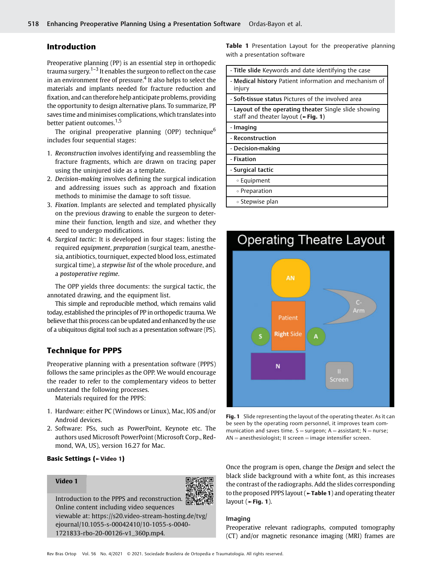# Introduction

Preoperative planning (PP) is an essential step in orthopedic trauma surgery.<sup>1–3</sup> It enables the surgeon to reflect on the case in an environment free of pressure.<sup>4</sup> It also helps to select the materials and implants needed for fracture reduction and fixation, and can therefore help anticipate problems, providing the opportunity to design alternative plans. To summarize, PP saves time and minimises complications, which translates into better patient outcomes.<sup>1,5</sup>

The original preoperative planning (OPP) technique<sup>6</sup> includes four sequential stages:

- 1. Reconstruction involves identifying and reassembling the fracture fragments, which are drawn on tracing paper using the uninjured side as a template.
- 2. Decision-making involves defining the surgical indication and addressing issues such as approach and fixation methods to minimise the damage to soft tissue.
- 3. Fixation. Implants are selected and templated physically on the previous drawing to enable the surgeon to determine their function, length and size, and whether they need to undergo modifications.
- 4. Surgical tactic: It is developed in four stages: listing the required equipment, preparation (surgical team, anesthesia, antibiotics, tourniquet, expected blood loss, estimated surgical time), a stepwise list of the whole procedure, and a postoperative regime.

The OPP yields three documents: the surgical tactic, the annotated drawing, and the equipment list.

This simple and reproducible method, which remains valid today, established the principles of PP in orthopedic trauma. We believe that this process can be updated and enhanced by the use of a ubiquitous digital tool such as a presentation software (PS).

# Technique for PPPS

Preoperative planning with a presentation software (PPPS) follows the same principles as the OPP. We would encourage the reader to refer to the complementary videos to better understand the following processes.

Materials required for the PPPS:

- 1. Hardware: either PC (Windows or Linux), Mac, IOS and/or Android devices.
- 2. Software: PSs, such as PowerPoint, Keynote etc. The authors used Microsoft PowerPoint (Microsoft Corp., Redmond, WA, US), version 16.27 for Mac.

#### Basic Settings (►Video 1)

### Video 1



Online content including video sequences viewable at: [https://s20.video-stream-hosting.de/tvg/](https://s20.video-stream-hosting.de/tvg/ejournal/10.1055-s-00042410/10-1055-s-0040-1721833-rbo-20-00126-v1_360p.mp4) [ejournal/10.1055-s-00042410/10-1055-s-0040-](https://s20.video-stream-hosting.de/tvg/ejournal/10.1055-s-00042410/10-1055-s-0040-1721833-rbo-20-00126-v1_360p.mp4) [1721833-rbo-20-00126-v1\\_360p.mp4](https://s20.video-stream-hosting.de/tvg/ejournal/10.1055-s-00042410/10-1055-s-0040-1721833-rbo-20-00126-v1_360p.mp4).

Table 1 Presentation Layout for the preoperative planning with a presentation software

| - Title slide Keywords and date identifying the case                                                               |
|--------------------------------------------------------------------------------------------------------------------|
| - Medical history Patient information and mechanism of<br>injury                                                   |
| - Soft-tissue status Pictures of the involved area                                                                 |
| - Layout of the operating theater Single slide showing<br>staff and theater layout ( $\blacktriangleright$ Fig. 1) |
| - Imaging                                                                                                          |
| - Reconstruction                                                                                                   |
| - Decision-making                                                                                                  |
| - Fixation                                                                                                         |
| - Surgical tactic                                                                                                  |
| ∘ Equipment                                                                                                        |
| ∘ Preparation                                                                                                      |
| ∘ Stepwise plan                                                                                                    |



Fig. 1 Slide representing the layout of the operating theater. As it can be seen by the operating room personnel, it improves team communication and saves time.  $S =$ surgeon; A = assistant; N = nurse;  $AN =$  anesthesiologist; II screen  $=$  image intensifier screen.

Once the program is open, change the Design and select the black slide background with a white font, as this increases the contrast of the radiographs. Add the slides corresponding to the proposed PPPS layout (►Table 1) and operating theater layout ( $\blacktriangleright$  Fig. 1).

#### Imaging

Preoperative relevant radiographs, computed tomography (CT) and/or magnetic resonance imaging (MRI) frames are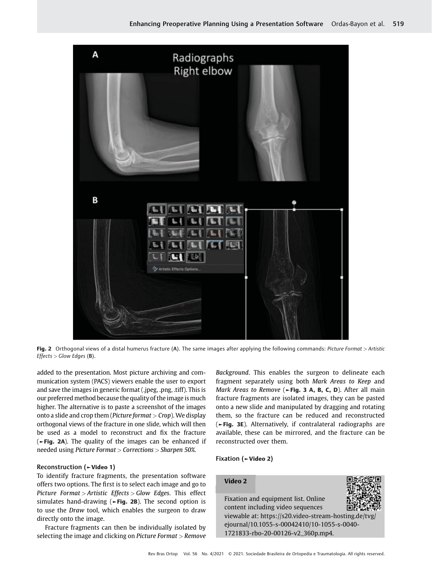

Fig. 2 Orthogonal views of a distal humerus fracture (A). The same images after applying the following commands: Picture Format > Artistic  $E \text{ffects} > \text{Glow Edges}$  (B).

added to the presentation. Most picture archiving and communication system (PACS) viewers enable the user to export and save the images in generic format (.jpeg, .png, .tiff). This is our preferred method because the quality of the image is much higher. The alternative is to paste a screenshot of the images onto a slide and crop them (*Picture format*  $>$  *Crop*). We display orthogonal views of the fracture in one slide, which will then be used as a model to reconstruct and fix the fracture (►Fig. 2A). The quality of the images can be enhanced if needed using Picture Format > Corrections > Sharpen 50%.

#### Reconstruction (►Video 1)

To identify fracture fragments, the presentation software offers two options. The first is to select each image and go to Picture Format > Artistic Effects > Glow Edges. This effect simulates hand-drawing ( $\blacktriangleright$ Fig. 2B). The second option is to use the Draw tool, which enables the surgeon to draw directly onto the image.

Fracture fragments can then be individually isolated by selecting the image and clicking on Picture Format > Remove Background. This enables the surgeon to delineate each fragment separately using both Mark Areas to Keep and Mark Areas to Remove ( $\blacktriangleright$ Fig. 3 A, B, C, D). After all main fracture fragments are isolated images, they can be pasted onto a new slide and manipulated by dragging and rotating them, so the fracture can be reduced and reconstructed (►Fig. 3E). Alternatively, if contralateral radiographs are available, these can be mirrored, and the fracture can be reconstructed over them.

# Fixation (►Video 2)

# Video 2 Fixation and equipment list. Online



content including video sequences viewable at: [https://s20.video-stream-hosting.de/tvg/](https://s20.video-stream-hosting.de/tvg/ejournal/10.1055-s-00042410/10-1055-s-0040-1721833-rbo-20-00126-v2_360p.mp4) [ejournal/10.1055-s-00042410/10-1055-s-0040-](https://s20.video-stream-hosting.de/tvg/ejournal/10.1055-s-00042410/10-1055-s-0040-1721833-rbo-20-00126-v2_360p.mp4) [1721833-rbo-20-00126-v2\\_360p.mp4](https://s20.video-stream-hosting.de/tvg/ejournal/10.1055-s-00042410/10-1055-s-0040-1721833-rbo-20-00126-v2_360p.mp4).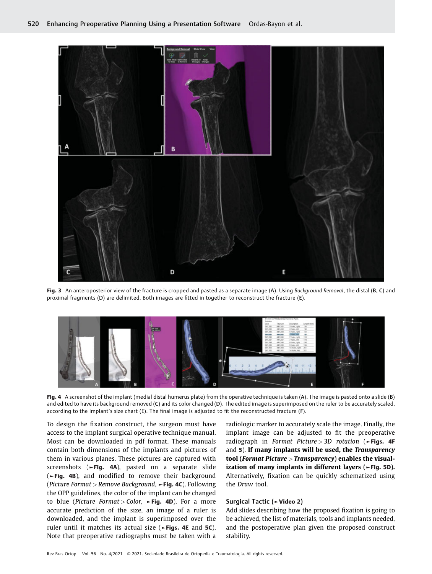

Fig. 3 An anteroposterior view of the fracture is cropped and pasted as a separate image (A). Using Background Removal, the distal (B, C) and proximal fragments (D) are delimited. Both images are fitted in together to reconstruct the fracture (E).



Fig. 4 A screenshot of the implant (medial distal humerus plate) from the operative technique is taken (A). The image is pasted onto a slide (B) and edited to have its background removed (C) and its color changed (D). The edited image is superimposed on the ruler to be accurately scaled, according to the implant's size chart (E). The final image is adjusted to fit the reconstructed fracture (F).

To design the fixation construct, the surgeon must have access to the implant surgical operative technique manual. Most can be downloaded in pdf format. These manuals contain both dimensions of the implants and pictures of them in various planes. These pictures are captured with screenshots (►Fig. 4A), pasted on a separate slide (►Fig. 4B), and modified to remove their background (Picture Format > Remove Background,  $\blacktriangleright$  Fig. 4C). Following the OPP guidelines, the color of the implant can be changed to blue (Picture Format > Color,  $\blacktriangleright$  Fig. 4D). For a more accurate prediction of the size, an image of a ruler is downloaded, and the implant is superimposed over the ruler until it matches its actual size (►Figs. 4E and 5C). Note that preoperative radiographs must be taken with a

radiologic marker to accurately scale the image. Finally, the implant image can be adjusted to fit the preoperative radiograph in Format Picture > 3D rotation ( $\blacktriangleright$  Figs. 4F and 5). If many implants will be used, the Transparency tool (Format Picture  $>$  Transparency) enables the visualization of many implants in different layers (►Fig. 5D). Alternatively, fixation can be quickly schematized using the Draw tool.

### Surgical Tactic (►Video 2)

Add slides describing how the proposed fixation is going to be achieved, the list of materials, tools and implants needed, and the postoperative plan given the proposed construct stability.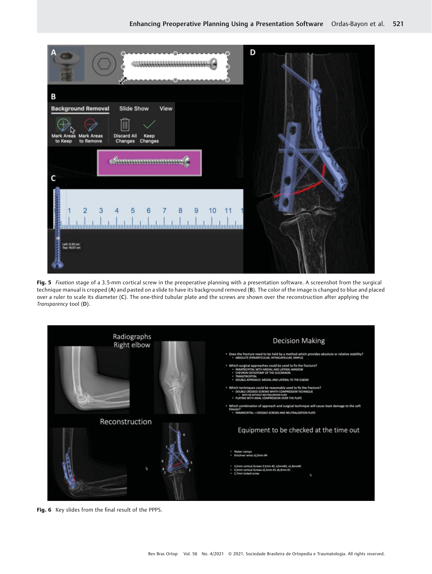

Fig. 5 Fixation stage of a 3.5-mm cortical screw in the preoperative planning with a presentation software. A screenshot from the surgical technique manual is cropped (A) and pasted on a slide to have its background removed (B). The color of the image is changed to blue and placed over a ruler to scale its diameter (C). The one-third tubular plate and the screws are shown over the reconstruction after applying the Transparency tool (D).



Fig. 6 Key slides from the final result of the PPPS.